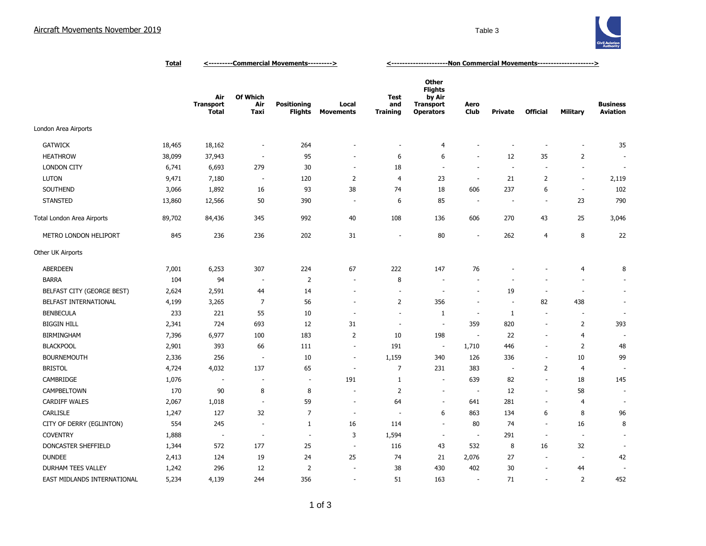

|                             | <u>Total</u> | <----------Commercial Movements---------> |                          |                                      |                           | <-----------------------Non Commercial Movements---------------------> |                                                                                  |                          |                          |                          |                          |                                    |
|-----------------------------|--------------|-------------------------------------------|--------------------------|--------------------------------------|---------------------------|------------------------------------------------------------------------|----------------------------------------------------------------------------------|--------------------------|--------------------------|--------------------------|--------------------------|------------------------------------|
|                             |              | Air<br><b>Transport</b><br>Total          | Of Which<br>Air<br>Taxi  | <b>Positioning</b><br><b>Flights</b> | Local<br><b>Movements</b> | Test<br>and<br><b>Training</b>                                         | <b>Other</b><br><b>Flights</b><br>by Air<br><b>Transport</b><br><b>Operators</b> | Aero<br><b>Club</b>      | Private                  | <b>Official</b>          | Military                 | <b>Business</b><br><b>Aviation</b> |
| London Area Airports        |              |                                           |                          |                                      |                           |                                                                        |                                                                                  |                          |                          |                          |                          |                                    |
| <b>GATWICK</b>              | 18,465       | 18,162                                    | $\overline{\phantom{a}}$ | 264                                  |                           | ٠                                                                      | 4                                                                                |                          |                          |                          | $\overline{\phantom{a}}$ | 35                                 |
| <b>HEATHROW</b>             | 38,099       | 37,943                                    | $\overline{\phantom{a}}$ | 95                                   | ۰                         | 6                                                                      | 6                                                                                | $\sim$                   | 12                       | 35                       | $\overline{2}$           |                                    |
| <b>LONDON CITY</b>          | 6,741        | 6,693                                     | 279                      | 30                                   | $\overline{\phantom{a}}$  | 18                                                                     | $\overline{\phantom{a}}$                                                         | ÷.                       | ÷,                       | $\sim$                   | $\blacksquare$           | $\overline{\phantom{a}}$           |
| <b>LUTON</b>                | 9,471        | 7,180                                     | $\sim$                   | 120                                  | $\overline{2}$            | $\overline{4}$                                                         | 23                                                                               | $\overline{\phantom{a}}$ | 21                       | $\overline{2}$           | $\sim$                   | 2,119                              |
| SOUTHEND                    | 3,066        | 1,892                                     | 16                       | 93                                   | 38                        | 74                                                                     | 18                                                                               | 606                      | 237                      | 6                        | $\sim$                   | 102                                |
| <b>STANSTED</b>             | 13,860       | 12,566                                    | 50                       | 390                                  | $\sim$                    | 6                                                                      | 85                                                                               | $\sim$                   | $\overline{\phantom{a}}$ | $\sim$                   | 23                       | 790                                |
| Total London Area Airports  | 89,702       | 84,436                                    | 345                      | 992                                  | 40                        | 108                                                                    | 136                                                                              | 606                      | 270                      | 43                       | 25                       | 3,046                              |
| METRO LONDON HELIPORT       | 845          | 236                                       | 236                      | 202                                  | 31                        | $\overline{\phantom{a}}$                                               | 80                                                                               | $\overline{\phantom{a}}$ | 262                      | 4                        | 8                        | 22                                 |
| Other UK Airports           |              |                                           |                          |                                      |                           |                                                                        |                                                                                  |                          |                          |                          |                          |                                    |
| <b>ABERDEEN</b>             | 7,001        | 6,253                                     | 307                      | 224                                  | 67                        | 222                                                                    | 147                                                                              | 76                       |                          |                          | 4                        | 8                                  |
| <b>BARRA</b>                | 104          | 94                                        | $\overline{\phantom{a}}$ | $\overline{2}$                       | $\sim$                    | 8                                                                      | $\sim$                                                                           | ÷.                       |                          |                          | $\overline{\phantom{a}}$ |                                    |
| BELFAST CITY (GEORGE BEST)  | 2,624        | 2,591                                     | 44                       | 14                                   | Ĭ.                        |                                                                        | $\overline{\phantom{a}}$                                                         | $\sim$                   | 19                       | ÷,                       | ÷,                       | $\sim$                             |
| BELFAST INTERNATIONAL       | 4,199        | 3,265                                     | 7                        | 56                                   | $\overline{\phantom{a}}$  | $\overline{2}$                                                         | 356                                                                              | $\sim$                   | ÷                        | 82                       | 438                      |                                    |
| <b>BENBECULA</b>            | 233          | 221                                       | 55                       | 10                                   | $\overline{\phantom{a}}$  | $\sim$                                                                 | 1                                                                                | $\sim$                   | 1                        | $\overline{\phantom{a}}$ | $\overline{\phantom{a}}$ | $\sim$                             |
| <b>BIGGIN HILL</b>          | 2,341        | 724                                       | 693                      | 12                                   | 31                        | ÷.                                                                     | $\sim$                                                                           | 359                      | 820                      | ÷.                       | $\overline{2}$           | 393                                |
| <b>BIRMINGHAM</b>           | 7,396        | 6,977                                     | 100                      | 183                                  | 2                         | 10                                                                     | 198                                                                              | $\overline{\phantom{a}}$ | 22                       | ä,                       | $\overline{4}$           |                                    |
| <b>BLACKPOOL</b>            | 2,901        | 393                                       | 66                       | 111                                  | $\overline{\phantom{a}}$  | 191                                                                    | $\overline{\phantom{a}}$                                                         | 1,710                    | 446                      | $\sim$                   | $\overline{2}$           | 48                                 |
| <b>BOURNEMOUTH</b>          | 2,336        | 256                                       | $\sim$                   | 10                                   | ÷,                        | 1,159                                                                  | 340                                                                              | 126                      | 336                      | ÷.                       | 10                       | 99                                 |
| <b>BRISTOL</b>              | 4,724        | 4,032                                     | 137                      | 65                                   | J.                        | 7                                                                      | 231                                                                              | 383                      | $\overline{\phantom{a}}$ | $\overline{2}$           | $\overline{4}$           |                                    |
| CAMBRIDGE                   | 1,076        | $\overline{\phantom{a}}$                  | ÷,                       | $\overline{\phantom{a}}$             | 191                       | $\mathbf{1}$                                                           | ÷                                                                                | 639                      | 82                       | ÷.                       | 18                       | 145                                |
| CAMPBELTOWN                 | 170          | 90                                        | 8                        | 8                                    | ä,                        | $\overline{2}$                                                         | $\sim$                                                                           | $\overline{\phantom{a}}$ | 12                       | $\overline{\phantom{a}}$ | 58                       | $\overline{a}$                     |
| <b>CARDIFF WALES</b>        | 2,067        | 1,018                                     | ÷                        | 59                                   | $\sim$                    | 64                                                                     | $\sim$                                                                           | 641                      | 281                      | $\overline{\phantom{a}}$ | $\overline{4}$           |                                    |
| CARLISLE                    | 1,247        | 127                                       | 32                       | $\overline{7}$                       | $\sim$                    | $\overline{a}$                                                         | 6                                                                                | 863                      | 134                      | 6                        | 8                        | 96                                 |
| CITY OF DERRY (EGLINTON)    | 554          | 245                                       | $\overline{\phantom{a}}$ | $\mathbf{1}$                         | 16                        | 114                                                                    | $\overline{\phantom{a}}$                                                         | 80                       | 74                       | ÷.                       | 16                       | 8                                  |
| <b>COVENTRY</b>             | 1,888        | $\overline{\phantom{a}}$                  | $\overline{\phantom{a}}$ | $\overline{\phantom{a}}$             | 3                         | 1,594                                                                  | $\overline{\phantom{a}}$                                                         | $\overline{\phantom{a}}$ | 291                      | $\overline{\phantom{a}}$ | ÷,                       | $\sim$                             |
| DONCASTER SHEFFIELD         | 1,344        | 572                                       | 177                      | 25                                   | $\overline{\phantom{a}}$  | 116                                                                    | 43                                                                               | 532                      | 8                        | 16                       | 32                       |                                    |
| <b>DUNDEE</b>               | 2,413        | 124                                       | 19                       | 24                                   | 25                        | 74                                                                     | 21                                                                               | 2,076                    | 27                       | $\overline{\phantom{a}}$ | $\overline{\phantom{a}}$ | 42                                 |
| DURHAM TEES VALLEY          | 1,242        | 296                                       | 12                       | $\overline{2}$                       |                           | 38                                                                     | 430                                                                              | 402                      | 30                       | $\sim$                   | 44                       |                                    |
| EAST MIDLANDS INTERNATIONAL | 5,234        | 4,139                                     | 244                      | 356                                  | ÷,                        | 51                                                                     | 163                                                                              | ÷.                       | 71                       | ÷.                       | $\overline{2}$           | 452                                |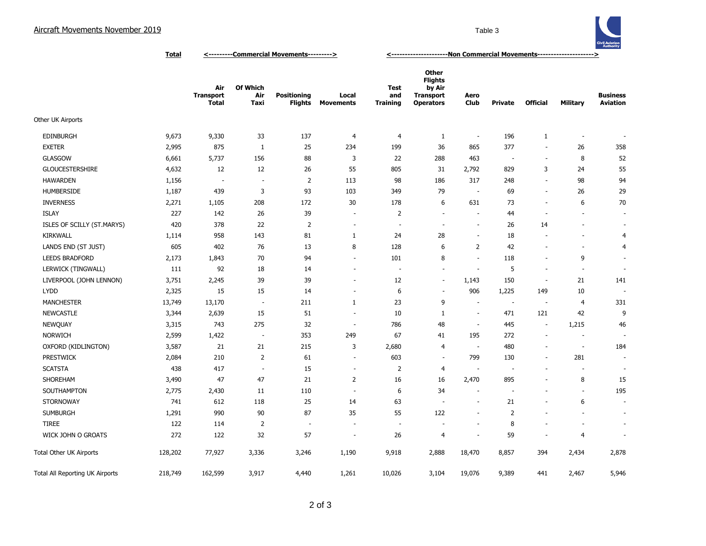

**Total <---------Commercial Movements---------> <---------------------Non Commercial Movements--------------------->**

|                                 |         | Air<br><b>Transport</b><br><b>Total</b> | Of Which<br>Air<br>Taxi  | <b>Positioning</b><br><b>Flights</b> | Local<br>Movements       | Test<br>and<br><b>Training</b> | Other<br><b>Flights</b><br>by Air<br><b>Transport</b><br><b>Operators</b> | Aero<br><b>Club</b>      | <b>Private</b>           | <b>Official</b>          | <b>Military</b>          | <b>Business</b><br><b>Aviation</b> |
|---------------------------------|---------|-----------------------------------------|--------------------------|--------------------------------------|--------------------------|--------------------------------|---------------------------------------------------------------------------|--------------------------|--------------------------|--------------------------|--------------------------|------------------------------------|
| Other UK Airports               |         |                                         |                          |                                      |                          |                                |                                                                           |                          |                          |                          |                          |                                    |
| <b>EDINBURGH</b>                | 9,673   | 9,330                                   | 33                       | 137                                  | 4                        | $\overline{4}$                 | 1                                                                         | $\overline{\phantom{a}}$ | 196                      | 1                        |                          |                                    |
| <b>EXETER</b>                   | 2,995   | 875                                     | $\mathbf{1}$             | 25                                   | 234                      | 199                            | 36                                                                        | 865                      | 377                      | $\sim$                   | 26                       | 358                                |
| <b>GLASGOW</b>                  | 6,661   | 5,737                                   | 156                      | 88                                   | 3                        | 22                             | 288                                                                       | 463                      | $\overline{\phantom{a}}$ | ÷.                       | 8                        | 52                                 |
| <b>GLOUCESTERSHIRE</b>          | 4,632   | 12                                      | 12                       | 26                                   | 55                       | 805                            | 31                                                                        | 2,792                    | 829                      | 3                        | 24                       | 55                                 |
| <b>HAWARDEN</b>                 | 1,156   | ×,                                      | $\overline{\phantom{a}}$ | $\overline{2}$                       | 113                      | 98                             | 186                                                                       | 317                      | 248                      | $\overline{\phantom{a}}$ | 98                       | 94                                 |
| <b>HUMBERSIDE</b>               | 1,187   | 439                                     | 3                        | 93                                   | 103                      | 349                            | 79                                                                        |                          | 69                       | ä,                       | 26                       | 29                                 |
| <b>INVERNESS</b>                | 2,271   | 1,105                                   | 208                      | 172                                  | 30                       | 178                            | 6                                                                         | 631                      | 73                       | $\overline{a}$           | 6                        | 70                                 |
| <b>ISLAY</b>                    | 227     | 142                                     | 26                       | 39                                   | ÷,                       | 2                              | ÷,                                                                        |                          | 44                       | $\overline{\phantom{a}}$ |                          | $\overline{\phantom{a}}$           |
| ISLES OF SCILLY (ST.MARYS)      | 420     | 378                                     | 22                       | $\overline{2}$                       | $\overline{\phantom{a}}$ | ÷,                             | ÷,                                                                        |                          | 26                       | 14                       |                          | $\blacksquare$                     |
| <b>KIRKWALL</b>                 | 1,114   | 958                                     | 143                      | 81                                   | 1                        | 24                             | 28                                                                        |                          | 18                       | $\overline{a}$           |                          | 4                                  |
| LANDS END (ST JUST)             | 605     | 402                                     | 76                       | 13                                   | 8                        | 128                            | 6                                                                         | 2                        | 42                       | ٠                        | $\overline{\phantom{a}}$ | 4                                  |
| <b>LEEDS BRADFORD</b>           | 2,173   | 1,843                                   | 70                       | 94                                   | $\overline{\phantom{a}}$ | 101                            | 8                                                                         | $\overline{\phantom{a}}$ | 118                      | $\overline{\phantom{a}}$ | 9                        | ٠                                  |
| LERWICK (TINGWALL)              | 111     | 92                                      | 18                       | 14                                   | $\overline{\phantom{a}}$ | $\overline{\phantom{a}}$       | ÷.                                                                        | $\sim$                   | 5                        | $\sim$                   | $\sim$                   | ÷                                  |
| LIVERPOOL (JOHN LENNON)         | 3,751   | 2,245                                   | 39                       | 39                                   | $\overline{\phantom{a}}$ | 12                             | $\overline{\phantom{a}}$                                                  | 1,143                    | 150                      | $\overline{\phantom{a}}$ | 21                       | 141                                |
| <b>LYDD</b>                     | 2,325   | 15                                      | 15                       | 14                                   | $\overline{\phantom{a}}$ | 6                              | $\overline{\phantom{a}}$                                                  | 906                      | 1,225                    | 149                      | 10                       |                                    |
| <b>MANCHESTER</b>               | 13,749  | 13,170                                  | $\sim$                   | 211                                  | $\mathbf{1}$             | 23                             | 9                                                                         | $\overline{\phantom{a}}$ | $\sim$                   | $\sim$                   | 4                        | 331                                |
| <b>NEWCASTLE</b>                | 3,344   | 2,639                                   | 15                       | 51                                   | $\overline{\phantom{a}}$ | 10                             | 1                                                                         | $\overline{\phantom{a}}$ | 471                      | 121                      | 42                       | 9                                  |
| NEWQUAY                         | 3,315   | 743                                     | 275                      | 32                                   | $\overline{\phantom{a}}$ | 786                            | 48                                                                        | $\overline{\phantom{a}}$ | 445                      | $\overline{\phantom{a}}$ | 1,215                    | 46                                 |
| <b>NORWICH</b>                  | 2,599   | 1,422                                   | $\overline{\phantom{a}}$ | 353                                  | 249                      | 67                             | 41                                                                        | 195                      | 272                      | $\sim$                   | $\overline{\phantom{a}}$ |                                    |
| OXFORD (KIDLINGTON)             | 3,587   | 21                                      | 21                       | 215                                  | 3                        | 2,680                          | $\overline{4}$                                                            | $\sim$                   | 480                      | ÷.                       | ÷.                       | 184                                |
| <b>PRESTWICK</b>                | 2,084   | 210                                     | 2                        | 61                                   | $\overline{\phantom{a}}$ | 603                            | $\overline{\phantom{a}}$                                                  | 799                      | 130                      | $\overline{\phantom{a}}$ | 281                      | $\overline{\phantom{a}}$           |
| <b>SCATSTA</b>                  | 438     | 417                                     | $\sim$                   | 15                                   | $\overline{\phantom{a}}$ | $\overline{2}$                 | $\overline{4}$                                                            |                          | ٠                        | ٠                        |                          | ٠                                  |
| SHOREHAM                        | 3,490   | 47                                      | 47                       | 21                                   | $\overline{2}$           | 16                             | 16                                                                        | 2,470                    | 895                      | $\overline{\phantom{a}}$ | 8                        | 15                                 |
| SOUTHAMPTON                     | 2,775   | 2,430                                   | 11                       | 110                                  | $\sim$                   | 6                              | 34                                                                        |                          | ÷                        | ÷                        | $\overline{\phantom{a}}$ | 195                                |
| <b>STORNOWAY</b>                | 741     | 612                                     | 118                      | 25                                   | 14                       | 63                             | $\overline{\phantom{a}}$                                                  |                          | 21                       | ÷,                       | 6                        | $\overline{\phantom{a}}$           |
| <b>SUMBURGH</b>                 | 1,291   | 990                                     | 90                       | 87                                   | 35                       | 55                             | 122                                                                       |                          | $\overline{2}$           |                          |                          |                                    |
| <b>TIREE</b>                    | 122     | 114                                     | $\overline{2}$           | $\overline{\phantom{a}}$             |                          |                                |                                                                           |                          | 8                        |                          |                          | $\sim$                             |
| WICK JOHN O GROATS              | 272     | 122                                     | 32                       | 57                                   |                          | 26                             | 4                                                                         |                          | 59                       | ÷,                       | 4                        |                                    |
| <b>Total Other UK Airports</b>  | 128,202 | 77,927                                  | 3,336                    | 3,246                                | 1,190                    | 9,918                          | 2,888                                                                     | 18,470                   | 8,857                    | 394                      | 2,434                    | 2,878                              |
| Total All Reporting UK Airports | 218,749 | 162,599                                 | 3,917                    | 4,440                                | 1,261                    | 10,026                         | 3,104                                                                     | 19,076                   | 9,389                    | 441                      | 2,467                    | 5,946                              |